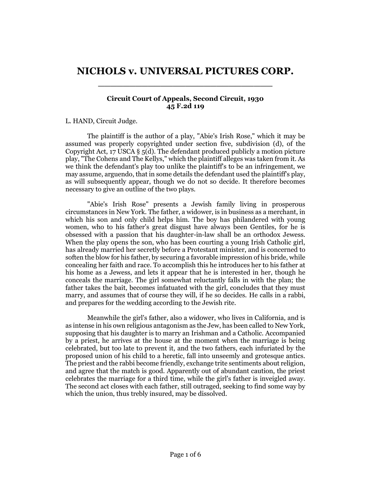## **NICHOLS v. UNIVERSAL PICTURES CORP.** \_\_\_\_\_\_\_\_\_\_\_\_\_\_\_\_\_\_\_\_\_\_\_\_\_\_\_\_

## **Circuit Court of Appeals, Second Circuit, 1930 45 F.2d 119**

## L. HAND, Circuit Judge.

The plaintiff is the author of a play, "Abie's Irish Rose," which it may be assumed was properly copyrighted under section five, subdivision (d), of the Copyright Act, 17 USCA § 5(d). The defendant produced publicly a motion picture play, "The Cohens and The Kellys," which the plaintiff alleges was taken from it. As we think the defendant's play too unlike the plaintiff's to be an infringement, we may assume, arguendo, that in some details the defendant used the plaintiff's play, as will subsequently appear, though we do not so decide. It therefore becomes necessary to give an outline of the two plays.

"Abie's Irish Rose" presents a Jewish family living in prosperous circumstances in New York. The father, a widower, is in business as a merchant, in which his son and only child helps him. The boy has philandered with young women, who to his father's great disgust have always been Gentiles, for he is obsessed with a passion that his daughter-in-law shall be an orthodox Jewess. When the play opens the son, who has been courting a young Irish Catholic girl, has already married her secretly before a Protestant minister, and is concerned to soften the blow for his father, by securing a favorable impression of his bride, while concealing her faith and race. To accomplish this he introduces her to his father at his home as a Jewess, and lets it appear that he is interested in her, though he conceals the marriage. The girl somewhat reluctantly falls in with the plan; the father takes the bait, becomes infatuated with the girl, concludes that they must marry, and assumes that of course they will, if he so decides. He calls in a rabbi, and prepares for the wedding according to the Jewish rite.

Meanwhile the girl's father, also a widower, who lives in California, and is as intense in his own religious antagonism as the Jew, has been called to New York, supposing that his daughter is to marry an Irishman and a Catholic. Accompanied by a priest, he arrives at the house at the moment when the marriage is being celebrated, but too late to prevent it, and the two fathers, each infuriated by the proposed union of his child to a heretic, fall into unseemly and grotesque antics. The priest and the rabbi become friendly, exchange trite sentiments about religion, and agree that the match is good. Apparently out of abundant caution, the priest celebrates the marriage for a third time, while the girl's father is inveigled away. The second act closes with each father, still outraged, seeking to find some way by which the union, thus trebly insured, may be dissolved.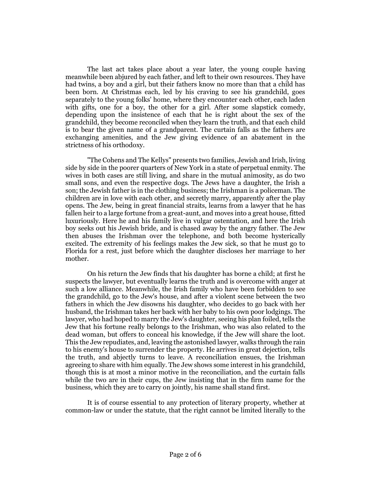The last act takes place about a year later, the young couple having meanwhile been abjured by each father, and left to their own resources. They have had twins, a boy and a girl, but their fathers know no more than that a child has been born. At Christmas each, led by his craving to see his grandchild, goes separately to the young folks' home, where they encounter each other, each laden with gifts, one for a boy, the other for a girl. After some slapstick comedy, depending upon the insistence of each that he is right about the sex of the grandchild, they become reconciled when they learn the truth, and that each child is to bear the given name of a grandparent. The curtain falls as the fathers are exchanging amenities, and the Jew giving evidence of an abatement in the strictness of his orthodoxy.

"The Cohens and The Kellys" presents two families, Jewish and Irish, living side by side in the poorer quarters of New York in a state of perpetual enmity. The wives in both cases are still living, and share in the mutual animosity, as do two small sons, and even the respective dogs. The Jews have a daughter, the Irish a son; the Jewish father is in the clothing business; the Irishman is a policeman. The children are in love with each other, and secretly marry, apparently after the play opens. The Jew, being in great financial straits, learns from a lawyer that he has fallen heir to a large fortune from a great-aunt, and moves into a great house, fitted luxuriously. Here he and his family live in vulgar ostentation, and here the Irish boy seeks out his Jewish bride, and is chased away by the angry father. The Jew then abuses the Irishman over the telephone, and both become hysterically excited. The extremity of his feelings makes the Jew sick, so that he must go to Florida for a rest, just before which the daughter discloses her marriage to her mother.

On his return the Jew finds that his daughter has borne a child; at first he suspects the lawyer, but eventually learns the truth and is overcome with anger at such a low alliance. Meanwhile, the Irish family who have been forbidden to see the grandchild, go to the Jew's house, and after a violent scene between the two fathers in which the Jew disowns his daughter, who decides to go back with her husband, the Irishman takes her back with her baby to his own poor lodgings. The lawyer, who had hoped to marry the Jew's daughter, seeing his plan foiled, tells the Jew that his fortune really belongs to the Irishman, who was also related to the dead woman, but offers to conceal his knowledge, if the Jew will share the loot. This the Jew repudiates, and, leaving the astonished lawyer, walks through the rain to his enemy's house to surrender the property. He arrives in great dejection, tells the truth, and abjectly turns to leave. A reconciliation ensues, the Irishman agreeing to share with him equally. The Jew shows some interest in his grandchild, though this is at most a minor motive in the reconciliation, and the curtain falls while the two are in their cups, the Jew insisting that in the firm name for the business, which they are to carry on jointly, his name shall stand first.

It is of course essential to any protection of literary property, whether at common-law or under the statute, that the right cannot be limited literally to the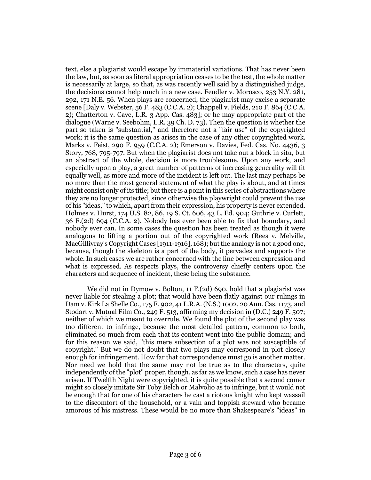text, else a plagiarist would escape by immaterial variations. That has never been the law, but, as soon as literal appropriation ceases to be the test, the whole matter is necessarily at large, so that, as was recently well said by a distinguished judge, the decisions cannot help much in a new case. Fendler v. Morosco, 253 N.Y. 281, 292, 171 N.E. 56. When plays are concerned, the plagiarist may excise a separate scene [Daly v. Webster, 56 F. 483 (C.C.A. 2); Chappell v. Fields, 210 F. 864 (C.C.A. 2); Chatterton v. Cave, L.R. 3 App. Cas. 483]; or he may appropriate part of the dialogue (Warne v. Seebohm, L.R. 39 Ch. D. 73). Then the question is whether the part so taken is "substantial," and therefore not a "fair use" of the copyrighted work; it is the same question as arises in the case of any other copyrighted work. Marks v. Feist, 290 F. 959 (C.C.A. 2); Emerson v. Davies, Fed. Cas. No. 4436, 3 Story, 768, 795-797. But when the plagiarist does not take out a block in situ, but an abstract of the whole, decision is more troublesome. Upon any work, and especially upon a play, a great number of patterns of increasing generality will fit equally well, as more and more of the incident is left out. The last may perhaps be no more than the most general statement of what the play is about, and at times might consist only of its title; but there is a point in this series of abstractions where they are no longer protected, since otherwise the playwright could prevent the use of his "ideas," to which, apart from their expression, his property is never extended. Holmes v. Hurst, 174 U.S. 82, 86, 19 S. Ct. 606, 43 L. Ed. 904; Guthrie v. Curlett, 36 F.(2d) 694 (C.C.A. 2). Nobody has ever been able to fix that boundary, and nobody ever can. In some cases the question has been treated as though it were analogous to lifting a portion out of the copyrighted work (Rees v. Melville, MacGillivray's Copyright Cases [1911-1916], 168); but the analogy is not a good one, because, though the skeleton is a part of the body, it pervades and supports the whole. In such cases we are rather concerned with the line between expression and what is expressed. As respects plays, the controversy chiefly centers upon the characters and sequence of incident, these being the substance.

We did not in Dymow v. Bolton, 11 F. (2d) 690, hold that a plagiarist was never liable for stealing a plot; that would have been flatly against our rulings in Dam v. Kirk La Shelle Co., 175 F. 902, 41 L.R.A. (N.S.) 1002, 20 Ann. Cas. 1173, and Stodart v. Mutual Film Co., 249 F. 513, affirming my decision in (D.C.) 249 F. 507; neither of which we meant to overrule. We found the plot of the second play was too different to infringe, because the most detailed pattern, common to both, eliminated so much from each that its content went into the public domain; and for this reason we said, "this mere subsection of a plot was not susceptible of copyright." But we do not doubt that two plays may correspond in plot closely enough for infringement. How far that correspondence must go is another matter. Nor need we hold that the same may not be true as to the characters, quite independently of the "plot" proper, though, as far as we know, such a case has never arisen. If Twelfth Night were copyrighted, it is quite possible that a second comer might so closely imitate Sir Toby Belch or Malvolio as to infringe, but it would not be enough that for one of his characters he cast a riotous knight who kept wassail to the discomfort of the household, or a vain and foppish steward who became amorous of his mistress. These would be no more than Shakespeare's "ideas" in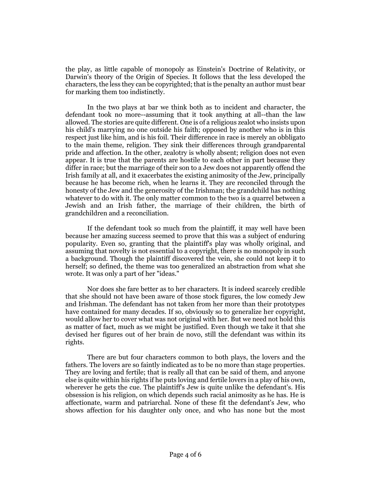the play, as little capable of monopoly as Einstein's Doctrine of Relativity, or Darwin's theory of the Origin of Species. It follows that the less developed the characters, the less they can be copyrighted; that is the penalty an author must bear for marking them too indistinctly.

In the two plays at bar we think both as to incident and character, the defendant took no more--assuming that it took anything at all--than the law allowed. The stories are quite different. One is of a religious zealot who insists upon his child's marrying no one outside his faith; opposed by another who is in this respect just like him, and is his foil. Their difference in race is merely an obbligato to the main theme, religion. They sink their differences through grandparental pride and affection. In the other, zealotry is wholly absent; religion does not even appear. It is true that the parents are hostile to each other in part because they differ in race; but the marriage of their son to a Jew does not apparently offend the Irish family at all, and it exacerbates the existing animosity of the Jew, principally because he has become rich, when he learns it. They are reconciled through the honesty of the Jew and the generosity of the Irishman; the grandchild has nothing whatever to do with it. The only matter common to the two is a quarrel between a Jewish and an Irish father, the marriage of their children, the birth of grandchildren and a reconciliation.

If the defendant took so much from the plaintiff, it may well have been because her amazing success seemed to prove that this was a subject of enduring popularity. Even so, granting that the plaintiff's play was wholly original, and assuming that novelty is not essential to a copyright, there is no monopoly in such a background. Though the plaintiff discovered the vein, she could not keep it to herself; so defined, the theme was too generalized an abstraction from what she wrote. It was only a part of her "ideas."

Nor does she fare better as to her characters. It is indeed scarcely credible that she should not have been aware of those stock figures, the low comedy Jew and Irishman. The defendant has not taken from her more than their prototypes have contained for many decades. If so, obviously so to generalize her copyright, would allow her to cover what was not original with her. But we need not hold this as matter of fact, much as we might be justified. Even though we take it that she devised her figures out of her brain de novo, still the defendant was within its rights.

There are but four characters common to both plays, the lovers and the fathers. The lovers are so faintly indicated as to be no more than stage properties. They are loving and fertile; that is really all that can be said of them, and anyone else is quite within his rights if he puts loving and fertile lovers in a play of his own, wherever he gets the cue. The plaintiff's Jew is quite unlike the defendant's. His obsession is his religion, on which depends such racial animosity as he has. He is affectionate, warm and patriarchal. None of these fit the defendant's Jew, who shows affection for his daughter only once, and who has none but the most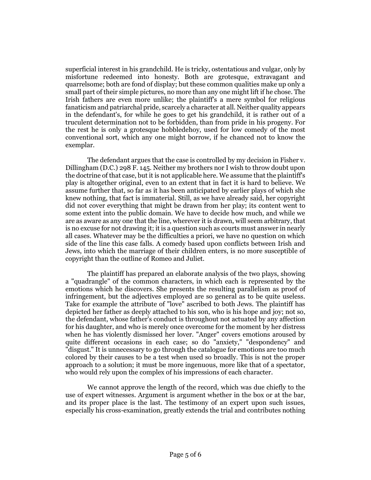superficial interest in his grandchild. He is tricky, ostentatious and vulgar, only by misfortune redeemed into honesty. Both are grotesque, extravagant and quarrelsome; both are fond of display; but these common qualities make up only a small part of their simple pictures, no more than any one might lift if he chose. The Irish fathers are even more unlike; the plaintiff's a mere symbol for religious fanaticism and patriarchal pride, scarcely a character at all. Neither quality appears in the defendant's, for while he goes to get his grandchild, it is rather out of a truculent determination not to be forbidden, than from pride in his progeny. For the rest he is only a grotesque hobbledehoy, used for low comedy of the most conventional sort, which any one might borrow, if he chanced not to know the exemplar.

The defendant argues that the case is controlled by my decision in Fisher v. Dillingham (D.C.) 298 F. 145. Neither my brothers nor I wish to throw doubt upon the doctrine of that case, but it is not applicable here. We assume that the plaintiff's play is altogether original, even to an extent that in fact it is hard to believe. We assume further that, so far as it has been anticipated by earlier plays of which she knew nothing, that fact is immaterial. Still, as we have already said, her copyright did not cover everything that might be drawn from her play; its content went to some extent into the public domain. We have to decide how much, and while we are as aware as any one that the line, wherever it is drawn, will seem arbitrary, that is no excuse for not drawing it; it is a question such as courts must answer in nearly all cases. Whatever may be the difficulties a priori, we have no question on which side of the line this case falls. A comedy based upon conflicts between Irish and Jews, into which the marriage of their children enters, is no more susceptible of copyright than the outline of Romeo and Juliet.

The plaintiff has prepared an elaborate analysis of the two plays, showing a "quadrangle" of the common characters, in which each is represented by the emotions which he discovers. She presents the resulting parallelism as proof of infringement, but the adjectives employed are so general as to be quite useless. Take for example the attribute of "love" ascribed to both Jews. The plaintiff has depicted her father as deeply attached to his son, who is his hope and joy; not so, the defendant, whose father's conduct is throughout not actuated by any affection for his daughter, and who is merely once overcome for the moment by her distress when he has violently dismissed her lover. "Anger" covers emotions aroused by quite different occasions in each case; so do "anxiety," "despondency" and "disgust." It is unnecessary to go through the catalogue for emotions are too much colored by their causes to be a test when used so broadly. This is not the proper approach to a solution; it must be more ingenuous, more like that of a spectator, who would rely upon the complex of his impressions of each character.

We cannot approve the length of the record, which was due chiefly to the use of expert witnesses. Argument is argument whether in the box or at the bar, and its proper place is the last. The testimony of an expert upon such issues, especially his cross-examination, greatly extends the trial and contributes nothing